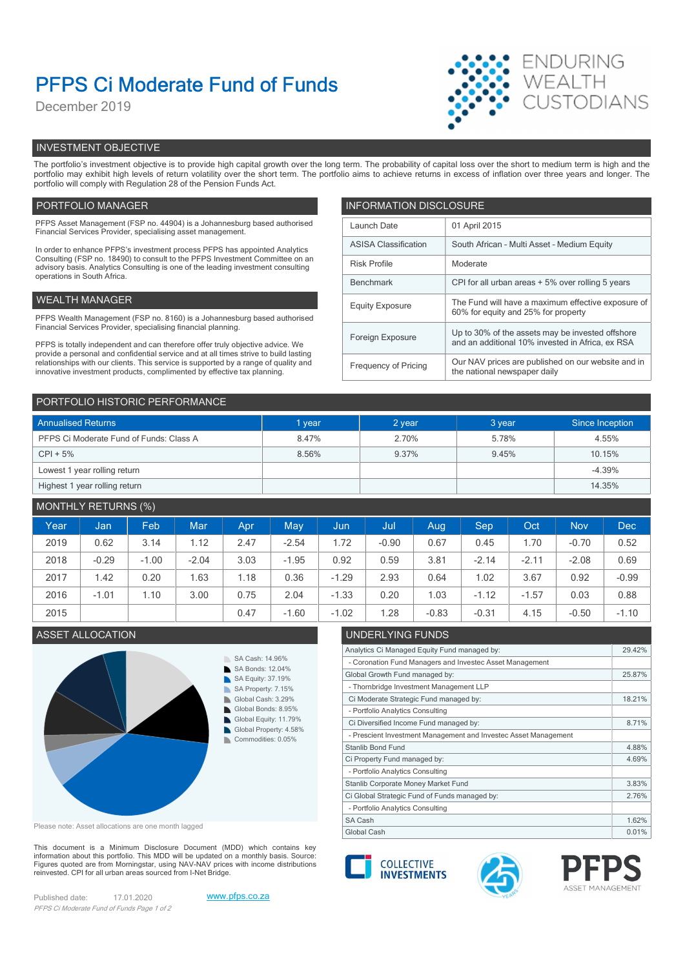# PFPS Ci Moderate Fund of Funds

December 2019



# INVESTMENT OBJECTIVE

The portfolio's investment objective is to provide high capital growth over the long term. The probability of capital loss over the short to medium term is high and the portfolio may exhibit high levels of return volatility over the short term. The portfolio aims to achieve returns in excess of inflation over three years and longer. The portfolio will comply with Regulation 28 of the Pension Funds Act.

# PORTFOLIO MANAGER **INFORMATION DISCLOSURE**

| PFPS Asset Management (FSP no. 44904) is a Johannesburg based authorised<br>Financial Services Provider, specialising asset management.                                                                                                                | Launch Date                                                                                                | 01 April 2015                                                                             |  |
|--------------------------------------------------------------------------------------------------------------------------------------------------------------------------------------------------------------------------------------------------------|------------------------------------------------------------------------------------------------------------|-------------------------------------------------------------------------------------------|--|
| In order to enhance PFPS's investment process PFPS has appointed Analytics                                                                                                                                                                             | <b>ASISA Classification</b>                                                                                | South African - Multi Asset - Medium Equity                                               |  |
| Consulting (FSP no. 18490) to consult to the PFPS Investment Committee on an<br>advisory basis. Analytics Consulting is one of the leading investment consulting                                                                                       | <b>Risk Profile</b>                                                                                        | Moderate                                                                                  |  |
| operations in South Africa.                                                                                                                                                                                                                            | Benchmark                                                                                                  | CPI for all urban areas + 5% over rolling 5 years                                         |  |
| WEALTH MANAGER                                                                                                                                                                                                                                         | <b>Equity Exposure</b>                                                                                     | The Fund will have a maximum effective exposure of<br>60% for equity and 25% for property |  |
| PFPS Wealth Management (FSP no. 8160) is a Johannesburg based authorised                                                                                                                                                                               |                                                                                                            |                                                                                           |  |
| Financial Services Provider, specialising financial planning.                                                                                                                                                                                          | Foreign Exposure                                                                                           | Up to 30% of the assets may be invested offshore                                          |  |
| PFPS is totally independent and can therefore offer truly objective advice. We                                                                                                                                                                         |                                                                                                            | and an additional 10% invested in Africa, ex RSA                                          |  |
| provide a personal and confidential service and at all times strive to build lasting<br>relationships with our clients. This service is supported by a range of quality and<br>innovative investment products, complimented by effective tax planning. | Our NAV prices are published on our website and in<br>Frequency of Pricing<br>the national newspaper daily |                                                                                           |  |
|                                                                                                                                                                                                                                                        |                                                                                                            |                                                                                           |  |

| PORTFOLIO HISTORIC PERFORMANCE          |        |        |        |                 |  |  |
|-----------------------------------------|--------|--------|--------|-----------------|--|--|
| <b>Annualised Returns</b>               | 1 year | 2 year | 3 year | Since Inception |  |  |
| PFPS Ci Moderate Fund of Funds: Class A | 8.47%  | 2.70%  | 5.78%  | 4.55%           |  |  |
| $CPI + 5%$                              | 8.56%  | 9.37%  | 9.45%  | 10.15%          |  |  |
| Lowest 1 year rolling return            |        |        |        | $-4.39%$        |  |  |
| Highest 1 year rolling return           |        |        |        | 14.35%          |  |  |

# MONTHLY RETURNS (%)

| Year | Jan     | Feb <sup>1</sup> | Mar     | Apr  | <b>May</b> | <b>Jun</b> | Jul     | Aug     | Sep     | Oct     | <b>Nov</b> | <b>Dec</b> |
|------|---------|------------------|---------|------|------------|------------|---------|---------|---------|---------|------------|------------|
| 2019 | 0.62    | 3.14             | 1.12    | 2.47 | $-2.54$    | 1.72       | $-0.90$ | 0.67    | 0.45    | . 70    | $-0.70$    | 0.52       |
| 2018 | $-0.29$ | $-1.00$          | $-2.04$ | 3.03 | $-1.95$    | 0.92       | 0.59    | 3.81    | $-2.14$ | $-2.11$ | $-2.08$    | 0.69       |
| 2017 | 1.42    | 0.20             | 1.63    | .18  | 0.36       | $-1.29$    | 2.93    | 0.64    | 1.02    | 3.67    | 0.92       | $-0.99$    |
| 2016 | $-1.01$ | .10              | 3.00    | 0.75 | 2.04       | $-1.33$    | 0.20    | 1.03    | $-1.12$ | $-1.57$ | 0.03       | 0.88       |
| 2015 |         |                  |         | 0.47 | $-1.60$    | $-1.02$    | .28     | $-0.83$ | $-0.31$ | 4.15    | $-0.50$    | $-1.10$    |

# ASSET ALLOCATION UNDERLYING FUNDS



Please note: Asset allocations are one month lagged

This document is a Minimum Disclosure Document (MDD) which contains key<br>information about this portfolio. This MDD will be updated on a monthly basis. Source: Figures quoted are from Morningstar, using NAV-NAV prices with income distributions<br>reinvested. CPI for all urban areas sourced from I-Net Bridge. reinvested. CPI for all urban areas sourced from I-Net Bridge.

Published date: 17.01.2020 www.pfps.co.za PFPS Ci Moderate Fund of Funds Page 1 of 2



- Portfolio Analytics Consulting

- Portfolio Analytics Consulting





Analytics Ci Managed Equity Fund managed by: 29.42%

Global Growth Fund managed by: 25.87%

Ci Moderate Strategic Fund managed by: 18.21%

Ci Diversified Income Fund managed by: 8.71%

Ci Property Fund managed by: 4.69%

Ci Global Strategic Fund of Funds managed by: 2.76% Stanlib Corporate Money Market Fund 3.83%

- Coronation Fund Managers and Investec Asset Management

- Prescient Investment Management and Investec Asset Management

- Thornbridge Investment Management LLP

- Portfolio Analytics Consulting



Stanlib Bond Fund **4.88%**